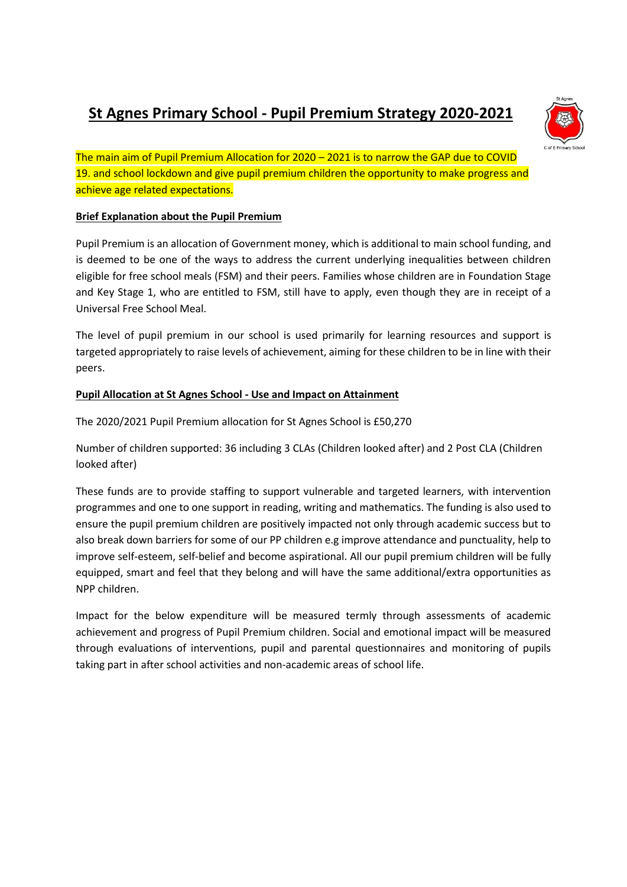## **St Agnes Primary School - Pupil Premium Strategy 2020-2021**



The main aim of Pupil Premium Allocation for 2020 – 2021 is to narrow the GAP due to COVID 19. and school lockdown and give pupil premium children the opportunity to make progress and achieve age related expectations.

## **Brief Explanation about the Pupil Premium**

Pupil Premium is an allocation of Government money, which is additional to main school funding, and is deemed to be one of the ways to address the current underlying inequalities between children eligible for free school meals (FSM) and their peers. Families whose children are in Foundation Stage and Key Stage 1, who are entitled to FSM, still have to apply, even though they are in receipt of a Universal Free School Meal.

The level of pupil premium in our school is used primarily for learning resources and support is targeted appropriately to raise levels of achievement, aiming for these children to be in line with their peers.

## **Pupil Allocation at St Agnes School - Use and Impact on Attainment**

The 2020/2021 Pupil Premium allocation for St Agnes School is £50,270

Number of children supported: 36 including 3 CLAs (Children looked after) and 2 Post CLA (Children looked after)

These funds are to provide staffing to support vulnerable and targeted learners, with intervention programmes and one to one support in reading, writing and mathematics. The funding is also used to ensure the pupil premium children are positively impacted not only through academic success but to also break down barriers for some of our PP children e.g improve attendance and punctuality, help to improve self-esteem, self-belief and become aspirational. All our pupil premium children will be fully equipped, smart and feel that they belong and will have the same additional/extra opportunities as NPP children.

Impact for the below expenditure will be measured termly through assessments of academic achievement and progress of Pupil Premium children. Social and emotional impact will be measured through evaluations of interventions, pupil and parental questionnaires and monitoring of pupils taking part in after school activities and non-academic areas of school life.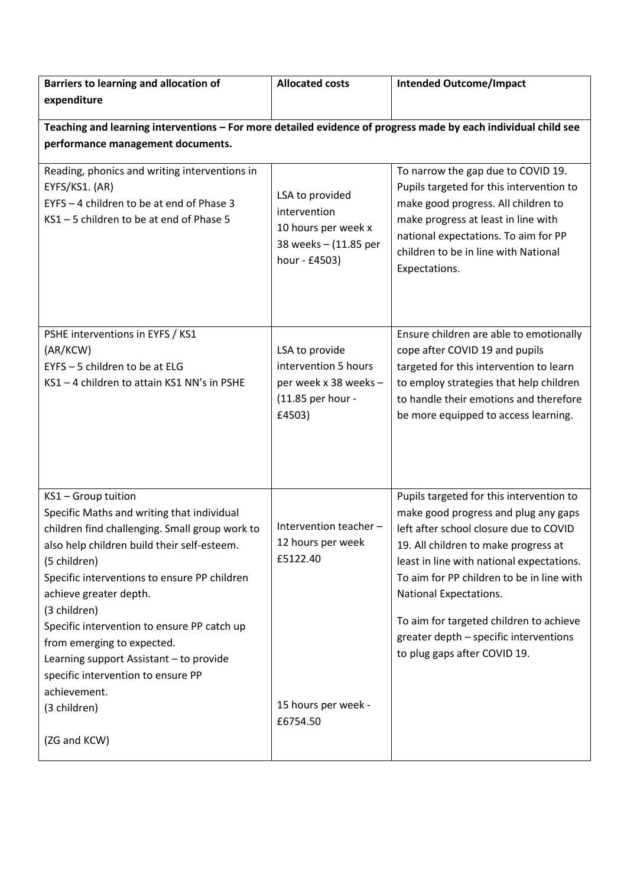| Barriers to learning and allocation of<br>expenditure                                                                                                                                                                                                                                                                                                                                                                                                                                      | <b>Allocated costs</b>                                                                           | <b>Intended Outcome/Impact</b>                                                                                                                                                                                                                                                                                                                                                                              |  |  |
|--------------------------------------------------------------------------------------------------------------------------------------------------------------------------------------------------------------------------------------------------------------------------------------------------------------------------------------------------------------------------------------------------------------------------------------------------------------------------------------------|--------------------------------------------------------------------------------------------------|-------------------------------------------------------------------------------------------------------------------------------------------------------------------------------------------------------------------------------------------------------------------------------------------------------------------------------------------------------------------------------------------------------------|--|--|
| Teaching and learning interventions - For more detailed evidence of progress made by each individual child see<br>performance management documents.                                                                                                                                                                                                                                                                                                                                        |                                                                                                  |                                                                                                                                                                                                                                                                                                                                                                                                             |  |  |
| Reading, phonics and writing interventions in<br>EYFS/KS1. (AR)<br>EYFS - 4 children to be at end of Phase 3<br>KS1-5 children to be at end of Phase 5                                                                                                                                                                                                                                                                                                                                     | LSA to provided<br>intervention<br>10 hours per week x<br>38 weeks - (11.85 per<br>hour - £4503) | To narrow the gap due to COVID 19.<br>Pupils targeted for this intervention to<br>make good progress. All children to<br>make progress at least in line with<br>national expectations. To aim for PP<br>children to be in line with National<br>Expectations.                                                                                                                                               |  |  |
| PSHE interventions in EYFS / KS1<br>(AR/KCW)<br>EYFS - 5 children to be at ELG<br>KS1-4 children to attain KS1 NN's in PSHE                                                                                                                                                                                                                                                                                                                                                                | LSA to provide<br>intervention 5 hours<br>per week x 38 weeks -<br>(11.85 per hour -<br>£4503)   | Ensure children are able to emotionally<br>cope after COVID 19 and pupils<br>targeted for this intervention to learn<br>to employ strategies that help children<br>to handle their emotions and therefore<br>be more equipped to access learning.                                                                                                                                                           |  |  |
| KS1 - Group tuition<br>Specific Maths and writing that individual<br>children find challenging. Small group work to<br>also help children build their self-esteem.<br>(5 children)<br>Specific interventions to ensure PP children<br>achieve greater depth.<br>(3 children)<br>Specific intervention to ensure PP catch up<br>from emerging to expected.<br>Learning support Assistant - to provide<br>specific intervention to ensure PP<br>achievement.<br>(3 children)<br>(ZG and KCW) | Intervention teacher -<br>12 hours per week<br>£5122.40<br>15 hours per week -<br>£6754.50       | Pupils targeted for this intervention to<br>make good progress and plug any gaps<br>left after school closure due to COVID<br>19. All children to make progress at<br>least in line with national expectations.<br>To aim for PP children to be in line with<br>National Expectations.<br>To aim for targeted children to achieve<br>greater depth - specific interventions<br>to plug gaps after COVID 19. |  |  |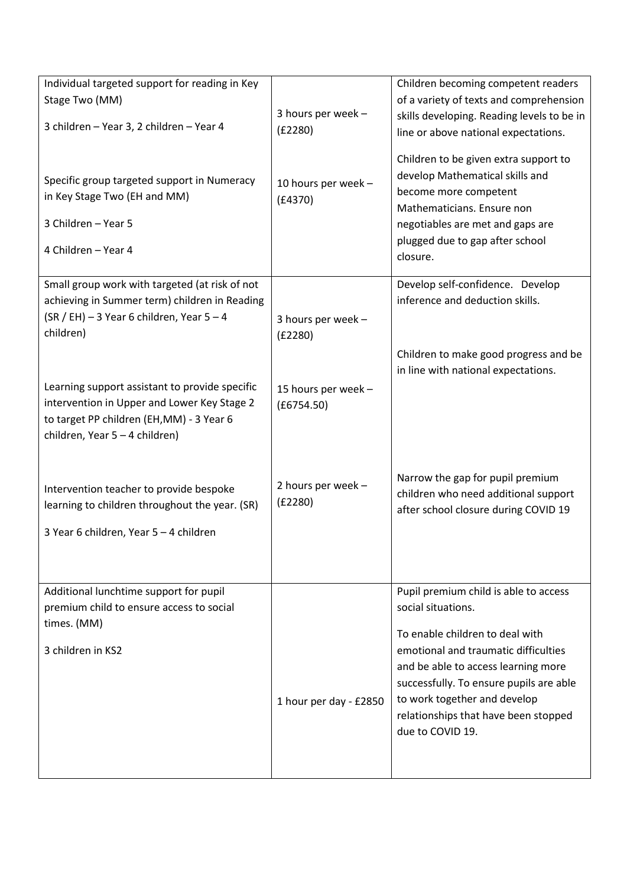| Individual targeted support for reading in Key |                        | Children becoming competent readers                                            |
|------------------------------------------------|------------------------|--------------------------------------------------------------------------------|
| Stage Two (MM)                                 |                        | of a variety of texts and comprehension                                        |
|                                                | 3 hours per week -     | skills developing. Reading levels to be in                                     |
| 3 children - Year 3, 2 children - Year 4       | (E2280)                | line or above national expectations.                                           |
|                                                |                        |                                                                                |
|                                                |                        | Children to be given extra support to                                          |
| Specific group targeted support in Numeracy    | 10 hours per week -    | develop Mathematical skills and<br>become more competent                       |
| in Key Stage Two (EH and MM)                   | (E4370)                | Mathematicians. Ensure non                                                     |
| 3 Children - Year 5                            |                        | negotiables are met and gaps are                                               |
|                                                |                        | plugged due to gap after school                                                |
| 4 Children - Year 4                            |                        | closure.                                                                       |
|                                                |                        |                                                                                |
| Small group work with targeted (at risk of not |                        | Develop self-confidence. Develop                                               |
| achieving in Summer term) children in Reading  |                        | inference and deduction skills.                                                |
| $(SR / EH) - 3$ Year 6 children, Year 5 - 4    | 3 hours per week -     |                                                                                |
| children)                                      | (E2280)                |                                                                                |
|                                                |                        | Children to make good progress and be                                          |
|                                                |                        | in line with national expectations.                                            |
| Learning support assistant to provide specific | 15 hours per week -    |                                                                                |
| intervention in Upper and Lower Key Stage 2    | (E6754.50)             |                                                                                |
| to target PP children (EH, MM) - 3 Year 6      |                        |                                                                                |
| children, Year 5 - 4 children)                 |                        |                                                                                |
|                                                |                        |                                                                                |
|                                                |                        | Narrow the gap for pupil premium                                               |
| Intervention teacher to provide bespoke        | 2 hours per week -     | children who need additional support                                           |
| learning to children throughout the year. (SR) | (E2280)                | after school closure during COVID 19                                           |
|                                                |                        |                                                                                |
| 3 Year 6 children, Year 5 - 4 children         |                        |                                                                                |
|                                                |                        |                                                                                |
|                                                |                        |                                                                                |
| Additional lunchtime support for pupil         |                        | Pupil premium child is able to access                                          |
| premium child to ensure access to social       |                        | social situations.                                                             |
| times. (MM)                                    |                        | To enable children to deal with                                                |
| 3 children in KS2                              |                        | emotional and traumatic difficulties                                           |
|                                                |                        |                                                                                |
|                                                |                        | and be able to access learning more<br>successfully. To ensure pupils are able |
|                                                |                        | to work together and develop                                                   |
|                                                | 1 hour per day - £2850 | relationships that have been stopped                                           |
|                                                |                        | due to COVID 19.                                                               |
|                                                |                        |                                                                                |
|                                                |                        |                                                                                |
|                                                |                        |                                                                                |